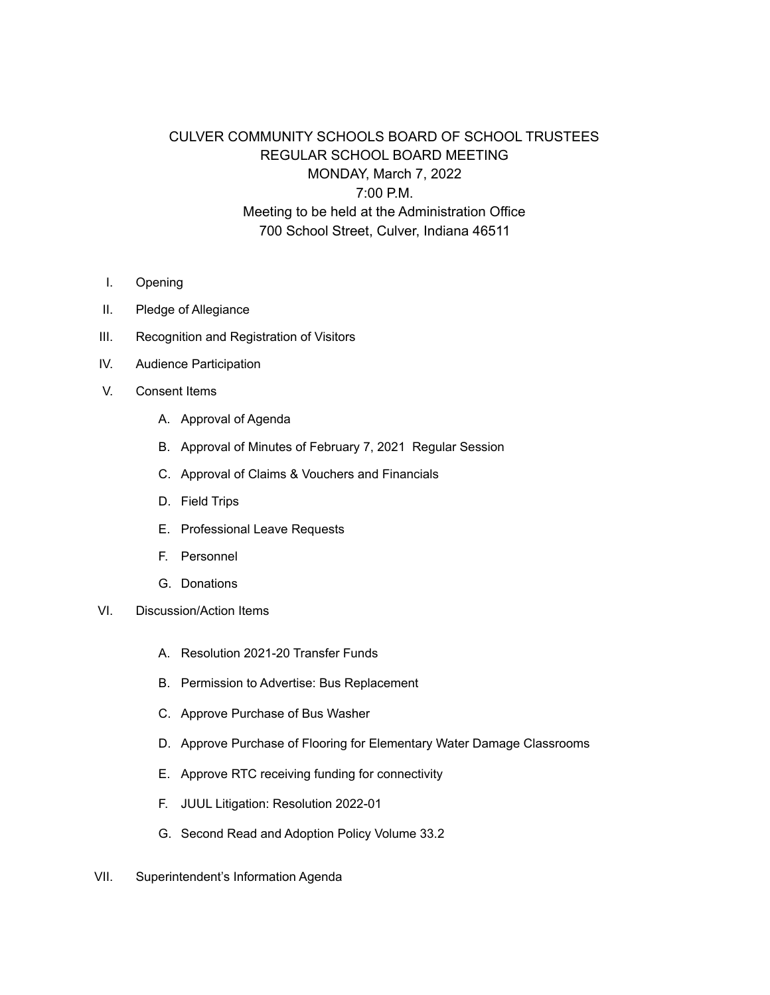## CULVER COMMUNITY SCHOOLS BOARD OF SCHOOL TRUSTEES REGULAR SCHOOL BOARD MEETING MONDAY, March 7, 2022 7:00 P.M. Meeting to be held at the Administration Office 700 School Street, Culver, Indiana 46511

- I. Opening
- II. Pledge of Allegiance
- III. Recognition and Registration of Visitors
- IV. Audience Participation
- V. Consent Items
	- A. Approval of Agenda
	- B. Approval of Minutes of February 7, 2021 Regular Session
	- C. Approval of Claims & Vouchers and Financials
	- D. Field Trips
	- E. Professional Leave Requests
	- F. Personnel
	- G. Donations
- VI. Discussion/Action Items
	- A. Resolution 2021-20 Transfer Funds
	- B. Permission to Advertise: Bus Replacement
	- C. Approve Purchase of Bus Washer
	- D. Approve Purchase of Flooring for Elementary Water Damage Classrooms
	- E. Approve RTC receiving funding for connectivity
	- F. JUUL Litigation: Resolution 2022-01
	- G. Second Read and Adoption Policy Volume 33.2
- VII. Superintendent's Information Agenda